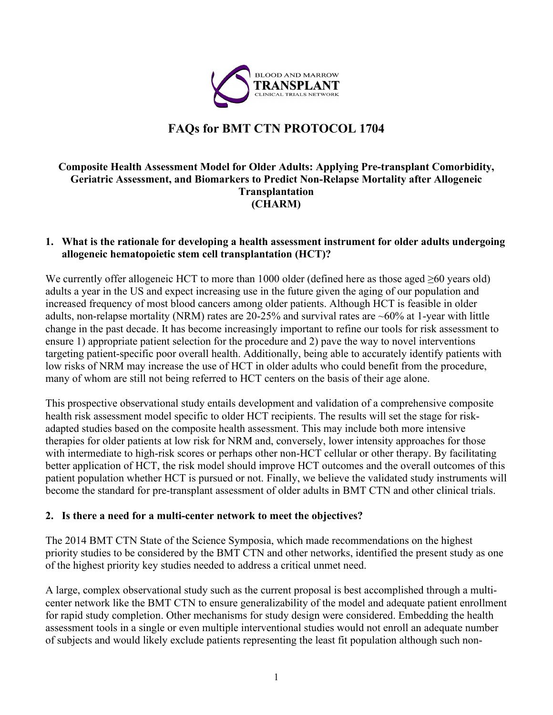

# **FAQs for BMT CTN PROTOCOL 1704**

## **Composite Health Assessment Model for Older Adults: Applying Pre-transplant Comorbidity, Geriatric Assessment, and Biomarkers to Predict Non-Relapse Mortality after Allogeneic Transplantation (CHARM)**

#### **1. What is the rationale for developing a health assessment instrument for older adults undergoing allogeneic hematopoietic stem cell transplantation (HCT)?**

We currently offer allogeneic HCT to more than 1000 older (defined here as those aged  $\geq 60$  years old) adults a year in the US and expect increasing use in the future given the aging of our population and increased frequency of most blood cancers among older patients. Although HCT is feasible in older adults, non-relapse mortality (NRM) rates are 20-25% and survival rates are ~60% at 1-year with little change in the past decade. It has become increasingly important to refine our tools for risk assessment to ensure 1) appropriate patient selection for the procedure and 2) pave the way to novel interventions targeting patient-specific poor overall health. Additionally, being able to accurately identify patients with low risks of NRM may increase the use of HCT in older adults who could benefit from the procedure, many of whom are still not being referred to HCT centers on the basis of their age alone.

This prospective observational study entails development and validation of a comprehensive composite health risk assessment model specific to older HCT recipients. The results will set the stage for riskadapted studies based on the composite health assessment. This may include both more intensive therapies for older patients at low risk for NRM and, conversely, lower intensity approaches for those with intermediate to high-risk scores or perhaps other non-HCT cellular or other therapy. By facilitating better application of HCT, the risk model should improve HCT outcomes and the overall outcomes of this patient population whether HCT is pursued or not. Finally, we believe the validated study instruments will become the standard for pre-transplant assessment of older adults in BMT CTN and other clinical trials.

#### **2. Is there a need for a multi-center network to meet the objectives?**

The 2014 BMT CTN State of the Science Symposia, which made recommendations on the highest priority studies to be considered by the BMT CTN and other networks, identified the present study as one of the highest priority key studies needed to address a critical unmet need.

A large, complex observational study such as the current proposal is best accomplished through a multicenter network like the BMT CTN to ensure generalizability of the model and adequate patient enrollment for rapid study completion. Other mechanisms for study design were considered. Embedding the health assessment tools in a single or even multiple interventional studies would not enroll an adequate number of subjects and would likely exclude patients representing the least fit population although such non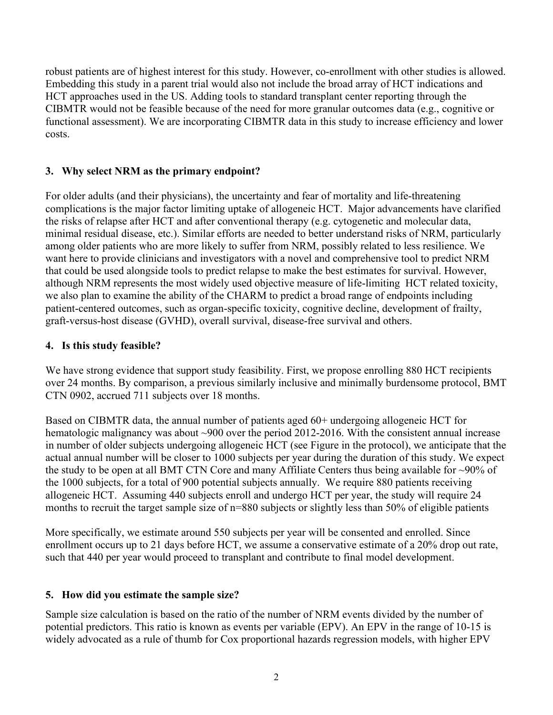robust patients are of highest interest for this study. However, co-enrollment with other studies is allowed. Embedding this study in a parent trial would also not include the broad array of HCT indications and HCT approaches used in the US. Adding tools to standard transplant center reporting through the CIBMTR would not be feasible because of the need for more granular outcomes data (e.g., cognitive or functional assessment). We are incorporating CIBMTR data in this study to increase efficiency and lower costs.

# **3. Why select NRM as the primary endpoint?**

For older adults (and their physicians), the uncertainty and fear of mortality and life-threatening complications is the major factor limiting uptake of allogeneic HCT. Major advancements have clarified the risks of relapse after HCT and after conventional therapy (e.g. cytogenetic and molecular data, minimal residual disease, etc.). Similar efforts are needed to better understand risks of NRM, particularly among older patients who are more likely to suffer from NRM, possibly related to less resilience. We want here to provide clinicians and investigators with a novel and comprehensive tool to predict NRM that could be used alongside tools to predict relapse to make the best estimates for survival. However, although NRM represents the most widely used objective measure of life-limiting HCT related toxicity, we also plan to examine the ability of the CHARM to predict a broad range of endpoints including patient-centered outcomes, such as organ-specific toxicity, cognitive decline, development of frailty, graft-versus-host disease (GVHD), overall survival, disease-free survival and others.

# **4. Is this study feasible?**

We have strong evidence that support study feasibility. First, we propose enrolling 880 HCT recipients over 24 months. By comparison, a previous similarly inclusive and minimally burdensome protocol, BMT CTN 0902, accrued 711 subjects over 18 months.

Based on CIBMTR data, the annual number of patients aged 60+ undergoing allogeneic HCT for hematologic malignancy was about ~900 over the period 2012-2016. With the consistent annual increase in number of older subjects undergoing allogeneic HCT (see Figure in the protocol), we anticipate that the actual annual number will be closer to 1000 subjects per year during the duration of this study. We expect the study to be open at all BMT CTN Core and many Affiliate Centers thus being available for ~90% of the 1000 subjects, for a total of 900 potential subjects annually. We require 880 patients receiving allogeneic HCT. Assuming 440 subjects enroll and undergo HCT per year, the study will require 24 months to recruit the target sample size of n=880 subjects or slightly less than 50% of eligible patients

More specifically, we estimate around 550 subjects per year will be consented and enrolled. Since enrollment occurs up to 21 days before HCT, we assume a conservative estimate of a 20% drop out rate, such that 440 per year would proceed to transplant and contribute to final model development.

## **5. How did you estimate the sample size?**

Sample size calculation is based on the ratio of the number of NRM events divided by the number of potential predictors. This ratio is known as events per variable (EPV). An EPV in the range of 10-15 is widely advocated as a rule of thumb for Cox proportional hazards regression models, with higher EPV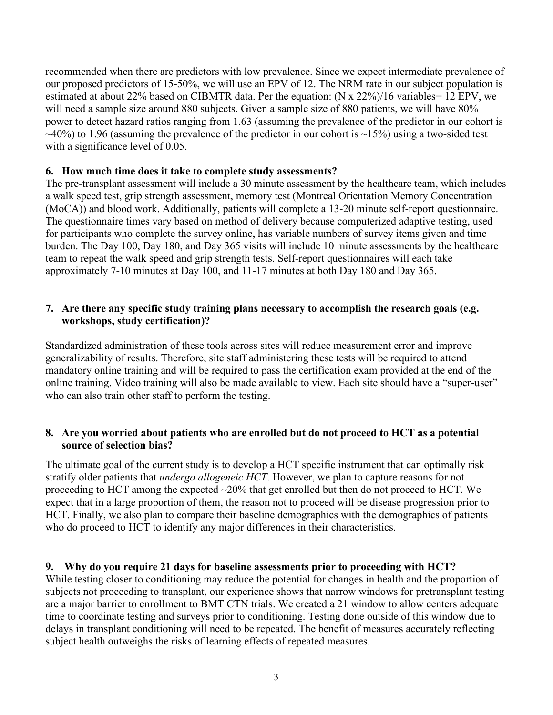recommended when there are predictors with low prevalence. Since we expect intermediate prevalence of our proposed predictors of 15-50%, we will use an EPV of 12. The NRM rate in our subject population is estimated at about 22% based on CIBMTR data. Per the equation: (N x 22%)/16 variables= 12 EPV, we will need a sample size around 880 subjects. Given a sample size of 880 patients, we will have 80% power to detect hazard ratios ranging from 1.63 (assuming the prevalence of the predictor in our cohort is  $\sim$ 40%) to 1.96 (assuming the prevalence of the predictor in our cohort is  $\sim$ 15%) using a two-sided test with a significance level of 0.05.

#### **6. How much time does it take to complete study assessments?**

The pre-transplant assessment will include a 30 minute assessment by the healthcare team, which includes a walk speed test, grip strength assessment, memory test (Montreal Orientation Memory Concentration (MoCA)) and blood work. Additionally, patients will complete a 13-20 minute self-report questionnaire. The questionnaire times vary based on method of delivery because computerized adaptive testing, used for participants who complete the survey online, has variable numbers of survey items given and time burden. The Day 100, Day 180, and Day 365 visits will include 10 minute assessments by the healthcare team to repeat the walk speed and grip strength tests. Self-report questionnaires will each take approximately 7-10 minutes at Day 100, and 11-17 minutes at both Day 180 and Day 365.

#### **7. Are there any specific study training plans necessary to accomplish the research goals (e.g. workshops, study certification)?**

Standardized administration of these tools across sites will reduce measurement error and improve generalizability of results. Therefore, site staff administering these tests will be required to attend mandatory online training and will be required to pass the certification exam provided at the end of the online training. Video training will also be made available to view. Each site should have a "super-user" who can also train other staff to perform the testing.

#### **8. Are you worried about patients who are enrolled but do not proceed to HCT as a potential source of selection bias?**

The ultimate goal of the current study is to develop a HCT specific instrument that can optimally risk stratify older patients that *undergo allogeneic HCT*. However, we plan to capture reasons for not proceeding to HCT among the expected ~20% that get enrolled but then do not proceed to HCT. We expect that in a large proportion of them, the reason not to proceed will be disease progression prior to HCT. Finally, we also plan to compare their baseline demographics with the demographics of patients who do proceed to HCT to identify any major differences in their characteristics.

## **9. Why do you require 21 days for baseline assessments prior to proceeding with HCT?**

While testing closer to conditioning may reduce the potential for changes in health and the proportion of subjects not proceeding to transplant, our experience shows that narrow windows for pretransplant testing are a major barrier to enrollment to BMT CTN trials. We created a 21 window to allow centers adequate time to coordinate testing and surveys prior to conditioning. Testing done outside of this window due to delays in transplant conditioning will need to be repeated. The benefit of measures accurately reflecting subject health outweighs the risks of learning effects of repeated measures.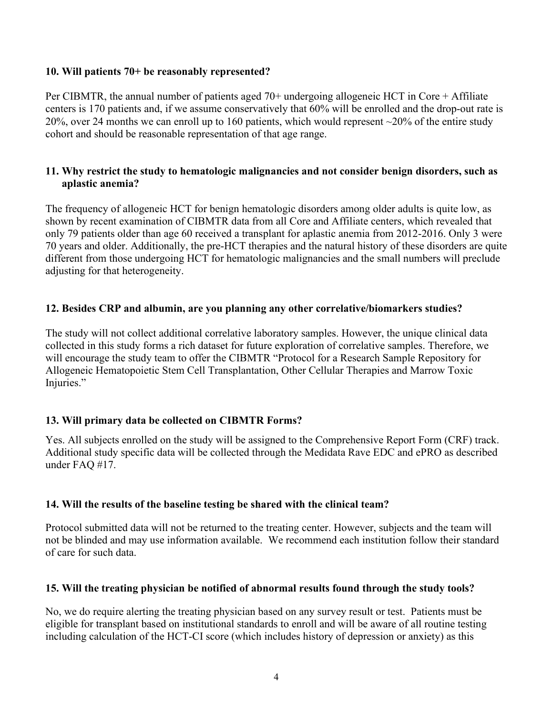#### **10. Will patients 70+ be reasonably represented?**

Per CIBMTR, the annual number of patients aged 70+ undergoing allogeneic HCT in Core + Affiliate centers is 170 patients and, if we assume conservatively that 60% will be enrolled and the drop-out rate is 20%, over 24 months we can enroll up to 160 patients, which would represent ~20% of the entire study cohort and should be reasonable representation of that age range.

#### **11. Why restrict the study to hematologic malignancies and not consider benign disorders, such as aplastic anemia?**

The frequency of allogeneic HCT for benign hematologic disorders among older adults is quite low, as shown by recent examination of CIBMTR data from all Core and Affiliate centers, which revealed that only 79 patients older than age 60 received a transplant for aplastic anemia from 2012-2016. Only 3 were 70 years and older. Additionally, the pre-HCT therapies and the natural history of these disorders are quite different from those undergoing HCT for hematologic malignancies and the small numbers will preclude adjusting for that heterogeneity.

## **12. Besides CRP and albumin, are you planning any other correlative/biomarkers studies?**

The study will not collect additional correlative laboratory samples. However, the unique clinical data collected in this study forms a rich dataset for future exploration of correlative samples. Therefore, we will encourage the study team to offer the CIBMTR "Protocol for a Research Sample Repository for Allogeneic Hematopoietic Stem Cell Transplantation, Other Cellular Therapies and Marrow Toxic Injuries."

## **13. Will primary data be collected on CIBMTR Forms?**

Yes. All subjects enrolled on the study will be assigned to the Comprehensive Report Form (CRF) track. Additional study specific data will be collected through the Medidata Rave EDC and ePRO as described under FAQ #17.

## **14. Will the results of the baseline testing be shared with the clinical team?**

Protocol submitted data will not be returned to the treating center. However, subjects and the team will not be blinded and may use information available. We recommend each institution follow their standard of care for such data.

## **15. Will the treating physician be notified of abnormal results found through the study tools?**

No, we do require alerting the treating physician based on any survey result or test. Patients must be eligible for transplant based on institutional standards to enroll and will be aware of all routine testing including calculation of the HCT-CI score (which includes history of depression or anxiety) as this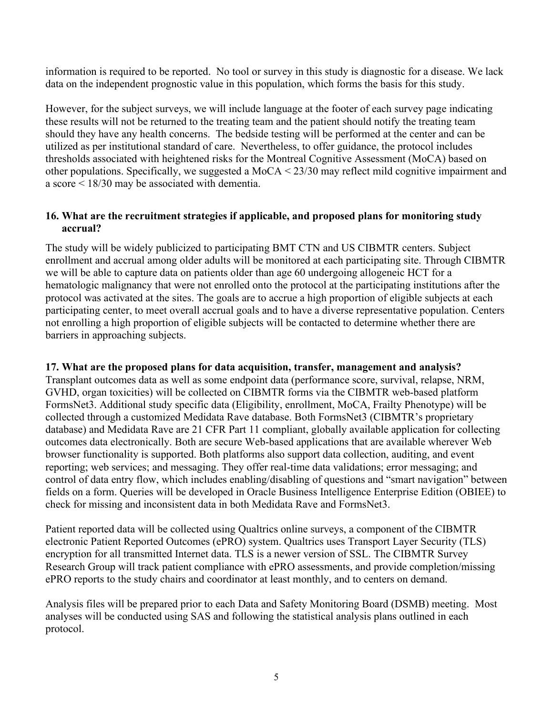information is required to be reported. No tool or survey in this study is diagnostic for a disease. We lack data on the independent prognostic value in this population, which forms the basis for this study.

However, for the subject surveys, we will include language at the footer of each survey page indicating these results will not be returned to the treating team and the patient should notify the treating team should they have any health concerns. The bedside testing will be performed at the center and can be utilized as per institutional standard of care. Nevertheless, to offer guidance, the protocol includes thresholds associated with heightened risks for the Montreal Cognitive Assessment (MoCA) based on other populations. Specifically, we suggested a MoCA < 23/30 may reflect mild cognitive impairment and a score < 18/30 may be associated with dementia.

## **16. What are the recruitment strategies if applicable, and proposed plans for monitoring study accrual?**

The study will be widely publicized to participating BMT CTN and US CIBMTR centers. Subject enrollment and accrual among older adults will be monitored at each participating site. Through CIBMTR we will be able to capture data on patients older than age 60 undergoing allogeneic HCT for a hematologic malignancy that were not enrolled onto the protocol at the participating institutions after the protocol was activated at the sites. The goals are to accrue a high proportion of eligible subjects at each participating center, to meet overall accrual goals and to have a diverse representative population. Centers not enrolling a high proportion of eligible subjects will be contacted to determine whether there are barriers in approaching subjects.

## **17. What are the proposed plans for data acquisition, transfer, management and analysis?**

Transplant outcomes data as well as some endpoint data (performance score, survival, relapse, NRM, GVHD, organ toxicities) will be collected on CIBMTR forms via the CIBMTR web-based platform FormsNet3. Additional study specific data (Eligibility, enrollment, MoCA, Frailty Phenotype) will be collected through a customized Medidata Rave database. Both FormsNet3 (CIBMTR's proprietary database) and Medidata Rave are 21 CFR Part 11 compliant, globally available application for collecting outcomes data electronically. Both are secure Web-based applications that are available wherever Web browser functionality is supported. Both platforms also support data collection, auditing, and event reporting; web services; and messaging. They offer real-time data validations; error messaging; and control of data entry flow, which includes enabling/disabling of questions and "smart navigation" between fields on a form. Queries will be developed in Oracle Business Intelligence Enterprise Edition (OBIEE) to check for missing and inconsistent data in both Medidata Rave and FormsNet3.

Patient reported data will be collected using Qualtrics online surveys, a component of the CIBMTR electronic Patient Reported Outcomes (ePRO) system. Qualtrics uses Transport Layer Security (TLS) encryption for all transmitted Internet data. TLS is a newer version of SSL. The CIBMTR Survey Research Group will track patient compliance with ePRO assessments, and provide completion/missing ePRO reports to the study chairs and coordinator at least monthly, and to centers on demand.

Analysis files will be prepared prior to each Data and Safety Monitoring Board (DSMB) meeting. Most analyses will be conducted using SAS and following the statistical analysis plans outlined in each protocol.